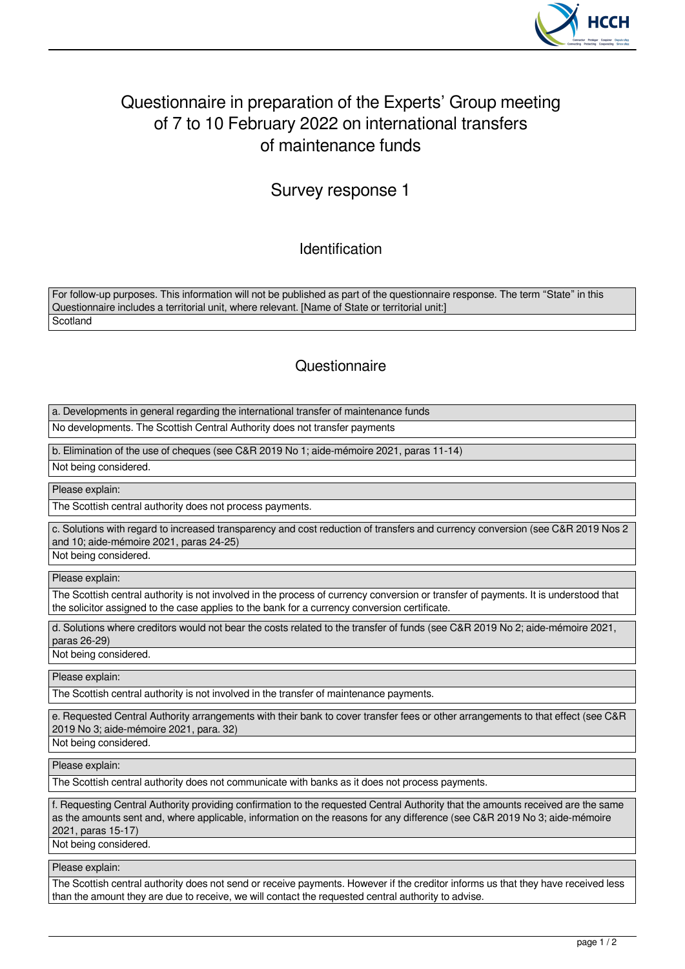

## Questionnaire in preparation of the Experts' Group meeting of 7 to 10 February 2022 on international transfers of maintenance funds

## Survey response 1

Identification

For follow-up purposes. This information will not be published as part of the questionnaire response. The term "State" in this Questionnaire includes a territorial unit, where relevant. [Name of State or territorial unit:] **Scotland** 

## **Questionnaire**

a. Developments in general regarding the international transfer of maintenance funds

No developments. The Scottish Central Authority does not transfer payments

b. Elimination of the use of cheques (see C&R 2019 No 1; aide-mémoire 2021, paras 11-14)

Not being considered.

Please explain:

The Scottish central authority does not process payments.

c. Solutions with regard to increased transparency and cost reduction of transfers and currency conversion (see C&R 2019 Nos 2 and 10; aide-mémoire 2021, paras 24-25)

Not being considered.

Please explain:

The Scottish central authority is not involved in the process of currency conversion or transfer of payments. It is understood that the solicitor assigned to the case applies to the bank for a currency conversion certificate.

d. Solutions where creditors would not bear the costs related to the transfer of funds (see C&R 2019 No 2; aide-mémoire 2021, paras 26-29)

Not being considered.

Please explain:

The Scottish central authority is not involved in the transfer of maintenance payments.

e. Requested Central Authority arrangements with their bank to cover transfer fees or other arrangements to that effect (see C&R 2019 No 3; aide-mémoire 2021, para. 32)

Not being considered.

Please explain:

The Scottish central authority does not communicate with banks as it does not process payments.

f. Requesting Central Authority providing confirmation to the requested Central Authority that the amounts received are the same as the amounts sent and, where applicable, information on the reasons for any difference (see C&R 2019 No 3; aide-mémoire 2021, paras 15-17)

Not being considered.

Please explain:

The Scottish central authority does not send or receive payments. However if the creditor informs us that they have received less than the amount they are due to receive, we will contact the requested central authority to advise.